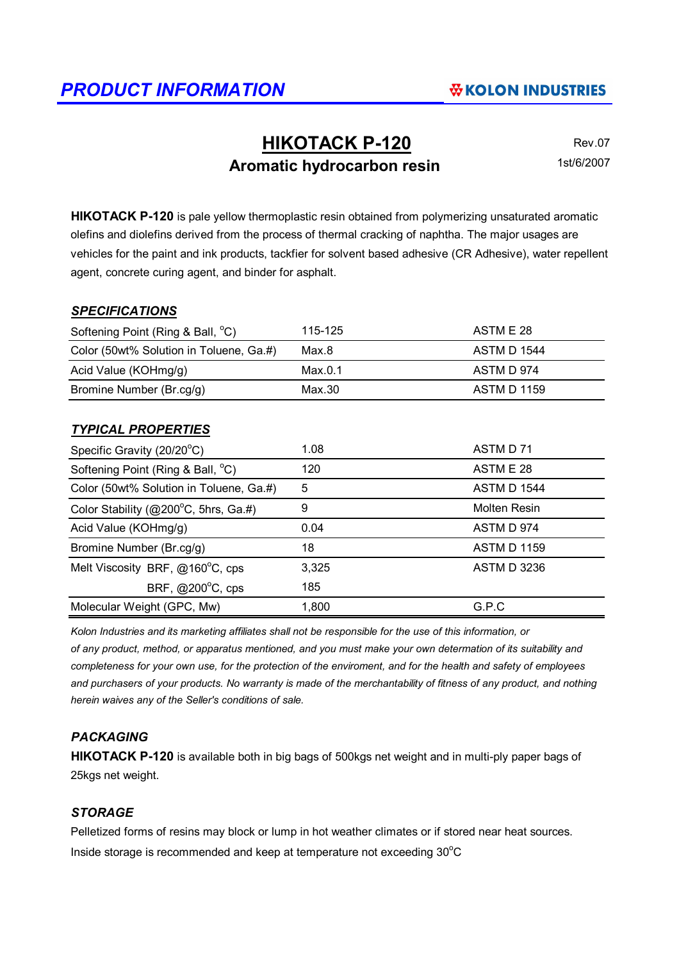# **HIKOTACK P-120** Rev.07 Aromatic hydrocarbon resin **1st/6/2007**

**HIKOTACK P-120** is pale yellow thermoplastic resin obtained from polymerizing unsaturated aromatic olefins and diolefins derived from the process of thermal cracking of naphtha. The major usages are vehicles for the paint and ink products, tackfier for solvent based adhesive (CR Adhesive), water repellent agent, concrete curing agent, and binder for asphalt.

#### *SPECIFICATIONS*

| Softening Point (Ring & Ball, °C)       | 115-125 | ASTM E 28          |
|-----------------------------------------|---------|--------------------|
| Color (50wt% Solution in Toluene, Ga.#) | Max.8   | <b>ASTM D 1544</b> |
| Acid Value (KOHmg/g)                    | Max.0.1 | ASTM D 974         |
| Bromine Number (Br.cg/g)                | Max.30  | <b>ASTM D 1159</b> |

#### *TYPICAL PROPERTIES*

| Specific Gravity (20/20°C)              | 1.08  | ASTM D 71          |
|-----------------------------------------|-------|--------------------|
| Softening Point (Ring & Ball, °C)       | 120   | ASTM E 28          |
| Color (50wt% Solution in Toluene, Ga.#) | 5     | <b>ASTM D 1544</b> |
| Color Stability (@200°C, 5hrs, Ga.#)    | 9     | Molten Resin       |
| Acid Value (KOHmg/g)                    | 0.04  | ASTM D 974         |
| Bromine Number (Br.cg/g)                | 18    | <b>ASTM D 1159</b> |
| Melt Viscosity BRF, @160°C, cps         | 3,325 | <b>ASTM D 3236</b> |
| BRF, @200°C, cps                        | 185   |                    |
| Molecular Weight (GPC, Mw)              | 1,800 | G.P.C              |

*Kolon Industries and its marketing affiliates shall not be responsible for the use of this information, or of any product, method, or apparatus mentioned, and you must make your own determation of its suitability and completeness for your own use, for the protection of the enviroment, and for the health and safety of employees and purchasers of your products. No warranty is made of the merchantability of fitness of any product, and nothing herein waives any of the Seller's conditions of sale.*

### *PACKAGING*

**HIKOTACK P-120** is available both in big bags of 500kgs net weight and in multi-ply paper bags of 25kgs net weight.

#### *STORAGE*

Pelletized forms of resins may block or lump in hot weather climates or if stored near heat sources. Inside storage is recommended and keep at temperature not exceeding  $30^{\circ}$ C